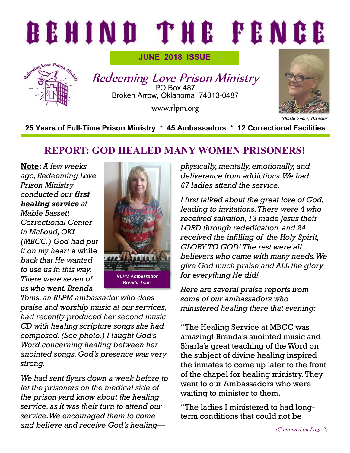# BEHIND THE FENCE



**JUNE 2018 ISSUE**

Redeeming Love Prison Ministry PO Box 487 Broken Arrow, Oklahoma 74013-0487

www.rlpm.org



**25 Years of Full-Time Prison Ministry \* 45 Ambassadors \* 12 Correctional Facilities**

## **REPORT: GOD HEALED MANY WOMEN PRISONERS!**

**Note:** *A few weeks ago, Redeeming Love Prison Ministry conducted our first healing service at Mable Bassett Correctional Center in McLoud, OK! (MBCC.) God had put it on my heart* a while *back that He wanted to use us in this way. There were seven of us who went. Brenda* 



*Toms, an RLPM ambassador who does praise and worship music at our services, had recently produced her second music CD with healing scripture songs she had composed. (See photo.) I taught God's Word concerning healing between her anointed songs. God's presence was very strong.* 

*We had sent flyers down a week before to let the prisoners on the medical side of the prison yard know about the healing service, as it was their turn to attend our service. We encouraged them to come and believe and receive God's healing—* *physically, mentally, emotionally, and deliverance from addictions. We had 67 ladies attend the service.* 

*I first talked about the great love of God, leading to invitations. There were* 4 *who received salvation, 13 made Jesus their LORD through rededication, and 24 received the infilling of the Holy Spirit, GLORY TO GOD! The rest were all believers who came with many needs. We give God much praise and ALL the glory for everything He did!* 

*Here are several praise reports from some of our ambassadors who ministered healing there that evening:*

"The Healing Service at MBCC was amazing! Brenda's anointed music and Sharla's great teaching of the Word on the subject of divine healing inspired the inmates to come up later to the front of the chapel for healing ministry. They went to our Ambassadors who were waiting to minister to them.

"The ladies I ministered to had longterm conditions that could not be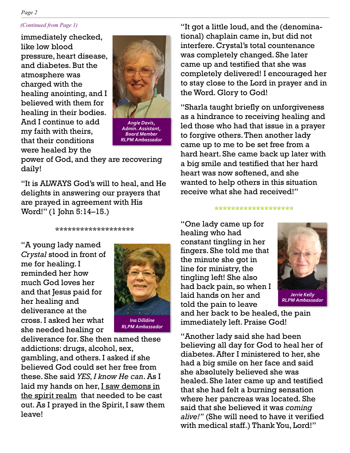#### *(Continued from Page 1)*

immediately checked, like low blood pressure, heart disease, and diabetes. But the atmosphere was charged with the healing anointing, and I believed with them for healing in their bodies. And I continue to add my faith with theirs, that their conditions were healed by the



*Board Member RLPM Ambassador* 

power of God, and they are recovering daily!

"It is ALWAYS God's will to heal, and He delights in answering our prayers that are prayed in agreement with His Word!" (1 John 5:14–15.)

\*\*\*\*\*\*\*\*\*\*\*\*\*\*\*\*\*\*\*

"A young lady named *Crystal* stood in front of me for healing. I reminded her how much God loves her and that Jesus paid for her healing and deliverance at the cross. I asked her what she needed healing or



deliverance for. She then named these addictions: drugs, alcohol, sex, gambling, and others. I asked if she believed God could set her free from these. She said *YES, I know He can*. As I laid my hands on her, I saw demons in the spirit realm that needed to be cast out. As I prayed in the Spirit, I saw them leave!

"It got a little loud, and the (denominational) chaplain came in, but did not interfere. Crystal's total countenance was completely changed. She later came up and testified that she was completely delivered! I encouraged her to stay close to the Lord in prayer and in the Word. Glory to God!

"Sharla taught briefly on unforgiveness as a hindrance to receiving healing and led those who had that issue in a prayer to forgive others. Then another lady came up to me to be set free from a hard heart. She came back up later with a big smile and testified that her hard heart was now softened, and she wanted to help others in this situation receive what she had received!"

#### \*\*\*\*\*\*\*\*\*\*\*\*\*\*\*\*\*\*\*

"One lady came up for healing who had constant tingling in her fingers. She told me that the minute she got in line for ministry, the tingling left! She also had back pain, so when I laid hands on her and told the pain to leave



and her back to be healed, the pain immediately left. Praise God!

"Another lady said she had been believing all day for God to heal her of diabetes. After I ministered to her, she had a big smile on her face and said she absolutely believed she was healed. She later came up and testified that she had felt a burning sensation where her pancreas was located. She said that she believed it was *coming alive!"* (She will need to have it verified with medical staff.) Thank You, Lord!"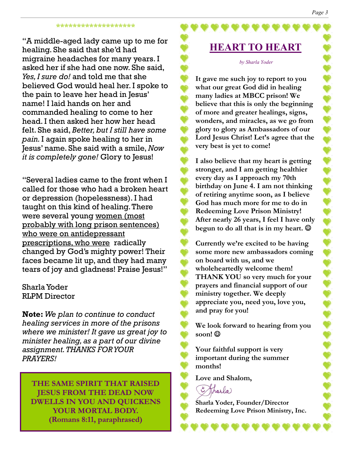#### \*\*\*\*\*\*\*\*\*\*\*\*\*\*\*\*

"A middle-aged lady came up to me for healing. She said that she'd had migraine headaches for many years. I asked her if she had one now. She said, *Yes, I sure do!* and told me that she believed God would heal her. I spoke to the pain to leave her head in Jesus' name! I laid hands on her and commanded healing to come to her head. I then asked her how her head felt. She said, *Better, but I still have some pain.* I again spoke healing to her in Jesus' name. She said with a smile, *Now it is completely gone!* Glory to Jesus!

"Several ladies came to the front when I called for those who had a broken heart or depression (hopelessness). I had taught on this kind of healing. There were several young women (most probably with long prison sentences) who were on antidepressant prescriptions, who were radically changed by God's mighty power! Their faces became lit up, and they had many tears of joy and gladness! Praise Jesus!"

## Sharla Yoder RLPM Director

**Note:** *We plan to continue to conduct healing services in more of the prisons where we minister! It gave us great joy to minister healing, as a part of our divine assignment. THANKS FOR YOUR PRAYERS!*

**THE SAME SPIRIT THAT RAISED JESUS FROM THE DEAD NOW DWELLS IN YOU AND QUICKENS YOUR MORTAL BODY. (Romans 8:11, paraphrased)**

## **HEART TO HEART**

#### *by Sharla Yoder*

**It gave me such joy to report to you what our great God did in healing many ladies at MBCC prison! We believe that this is only the beginning of more and greater healings, signs, wonders, and miracles, as we go from glory to glory as Ambassadors of our Lord Jesus Christ! Let's agree that the very best is yet to come!**

**I also believe that my heart is getting stronger, and I am getting healthier every day as I approach my 70th birthday on June 4. I am not thinking of retiring anytime soon, as I believe God has much more for me to do in Redeeming Love Prison Ministry! After nearly 26 years, I feel I have only begun to do all that is in my heart.**  $\odot$ 

**Currently we're excited to be having some more new ambassadors coming on board with us, and we wholeheartedly welcome them! THANK YOU so very much for your prayers and financial support of our ministry together. We deeply appreciate you, need you, love you, and pray for you!** 

**We look forward to hearing from you soon!** ☺

**Your faithful support is very important during the summer months!**

**Love and Shalom,**

Tharla

**Sharla Yoder, Founder/Director Redeeming Love Prison Ministry, Inc.**